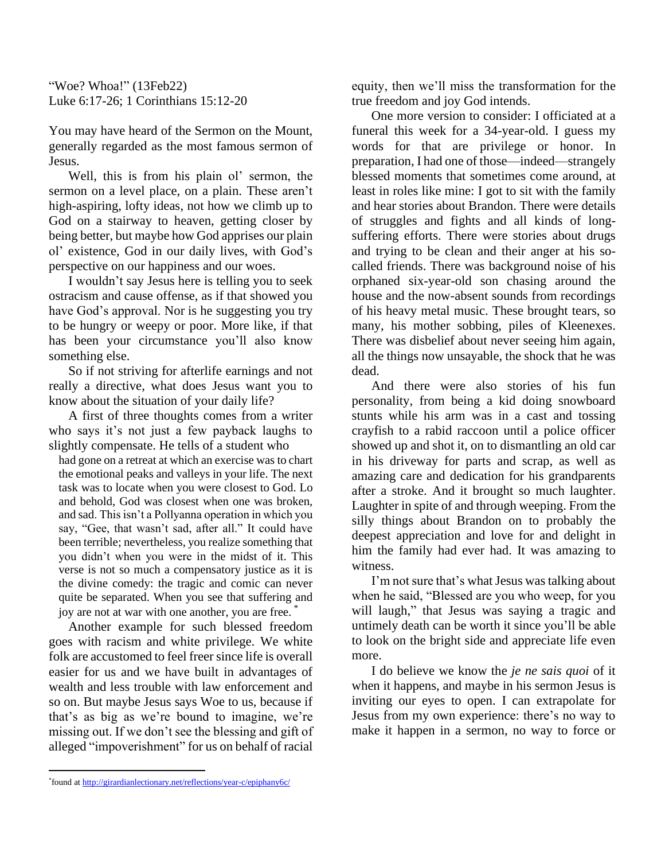"Woe? Whoa!" (13Feb22) Luke 6:17-26; 1 Corinthians 15:12-20

You may have heard of the Sermon on the Mount, generally regarded as the most famous sermon of Jesus.

Well, this is from his plain ol' sermon, the sermon on a level place, on a plain. These aren't high-aspiring, lofty ideas, not how we climb up to God on a stairway to heaven, getting closer by being better, but maybe how God apprises our plain ol' existence, God in our daily lives, with God's perspective on our happiness and our woes.

I wouldn't say Jesus here is telling you to seek ostracism and cause offense, as if that showed you have God's approval. Nor is he suggesting you try to be hungry or weepy or poor. More like, if that has been your circumstance you'll also know something else.

So if not striving for afterlife earnings and not really a directive, what does Jesus want you to know about the situation of your daily life?

A first of three thoughts comes from a writer who says it's not just a few payback laughs to slightly compensate. He tells of a student who

had gone on a retreat at which an exercise was to chart the emotional peaks and valleys in your life. The next task was to locate when you were closest to God. Lo and behold, God was closest when one was broken, and sad. This isn't a Pollyanna operation in which you say, "Gee, that wasn't sad, after all." It could have been terrible; nevertheless, you realize something that you didn't when you were in the midst of it. This verse is not so much a compensatory justice as it is the divine comedy: the tragic and comic can never quite be separated. When you see that suffering and joy are not at war with one another, you are free. \*

Another example for such blessed freedom goes with racism and white privilege. We white folk are accustomed to feel freer since life is overall easier for us and we have built in advantages of wealth and less trouble with law enforcement and so on. But maybe Jesus says Woe to us, because if that's as big as we're bound to imagine, we're missing out. If we don't see the blessing and gift of alleged "impoverishment" for us on behalf of racial

equity, then we'll miss the transformation for the true freedom and joy God intends.

One more version to consider: I officiated at a funeral this week for a 34-year-old. I guess my words for that are privilege or honor. In preparation, I had one of those—indeed—strangely blessed moments that sometimes come around, at least in roles like mine: I got to sit with the family and hear stories about Brandon. There were details of struggles and fights and all kinds of longsuffering efforts. There were stories about drugs and trying to be clean and their anger at his socalled friends. There was background noise of his orphaned six-year-old son chasing around the house and the now-absent sounds from recordings of his heavy metal music. These brought tears, so many, his mother sobbing, piles of Kleenexes. There was disbelief about never seeing him again, all the things now unsayable, the shock that he was dead.

And there were also stories of his fun personality, from being a kid doing snowboard stunts while his arm was in a cast and tossing crayfish to a rabid raccoon until a police officer showed up and shot it, on to dismantling an old car in his driveway for parts and scrap, as well as amazing care and dedication for his grandparents after a stroke. And it brought so much laughter. Laughter in spite of and through weeping. From the silly things about Brandon on to probably the deepest appreciation and love for and delight in him the family had ever had. It was amazing to witness.

I'm not sure that's what Jesus was talking about when he said, "Blessed are you who weep, for you will laugh," that Jesus was saying a tragic and untimely death can be worth it since you'll be able to look on the bright side and appreciate life even more.

I do believe we know the *je ne sais quoi* of it when it happens, and maybe in his sermon Jesus is inviting our eyes to open. I can extrapolate for Jesus from my own experience: there's no way to make it happen in a sermon, no way to force or

<sup>\*</sup> found at [http://girardianlectionary.net/reflections/year-c/epiphany6c/](about:blank)